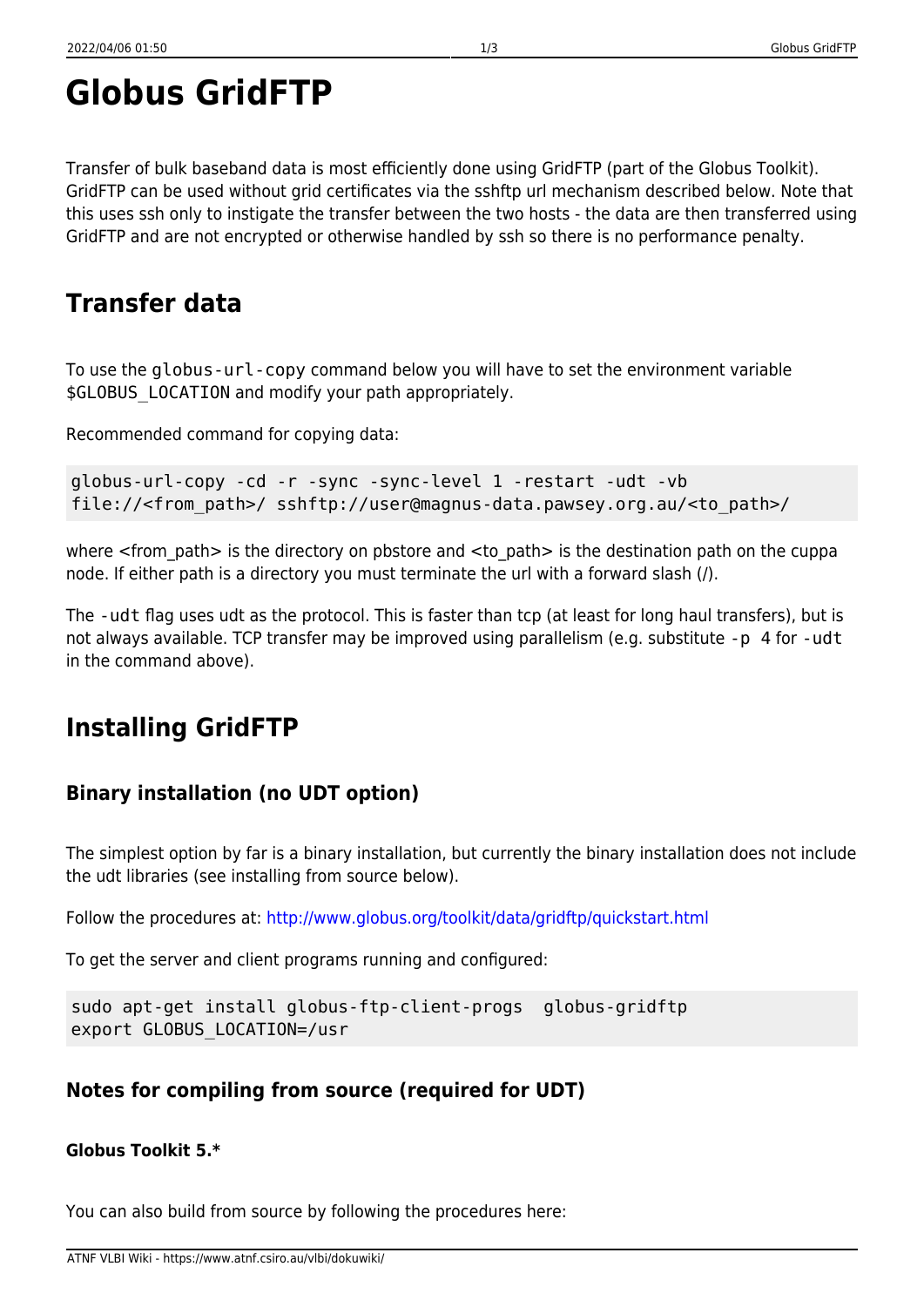# **Globus GridFTP**

Transfer of bulk baseband data is most efficiently done using GridFTP (part of the Globus Toolkit). GridFTP can be used without grid certificates via the sshftp url mechanism described below. Note that this uses ssh only to instigate the transfer between the two hosts - the data are then transferred using GridFTP and are not encrypted or otherwise handled by ssh so there is no performance penalty.

## **Transfer data**

To use the globus-url-copy command below you will have to set the environment variable \$GLOBUS LOCATION and modify your path appropriately.

Recommended command for copying data:

globus-url-copy -cd -r -sync -sync-level 1 -restart -udt -vb file://<from\_path>/ sshftp://user@magnus-data.pawsey.org.au/<to\_path>/

where <from path> is the directory on pbstore and <to path> is the destination path on the cuppa node. If either path is a directory you must terminate the url with a forward slash (/).

The -udt flag uses udt as the protocol. This is faster than tcp (at least for long haul transfers), but is not always available. TCP transfer may be improved using parallelism (e.g. substitute -p 4 for -udt in the command above).

## **Installing GridFTP**

### **Binary installation (no UDT option)**

The simplest option by far is a binary installation, but currently the binary installation does not include the udt libraries (see installing from source below).

Follow the procedures at: <http://www.globus.org/toolkit/data/gridftp/quickstart.html>

To get the server and client programs running and configured:

```
sudo apt-get install globus-ftp-client-progs globus-gridftp
export GLOBUS_LOCATION=/usr
```
#### **Notes for compiling from source (required for UDT)**

#### **Globus Toolkit 5.\***

You can also build from source by following the procedures here: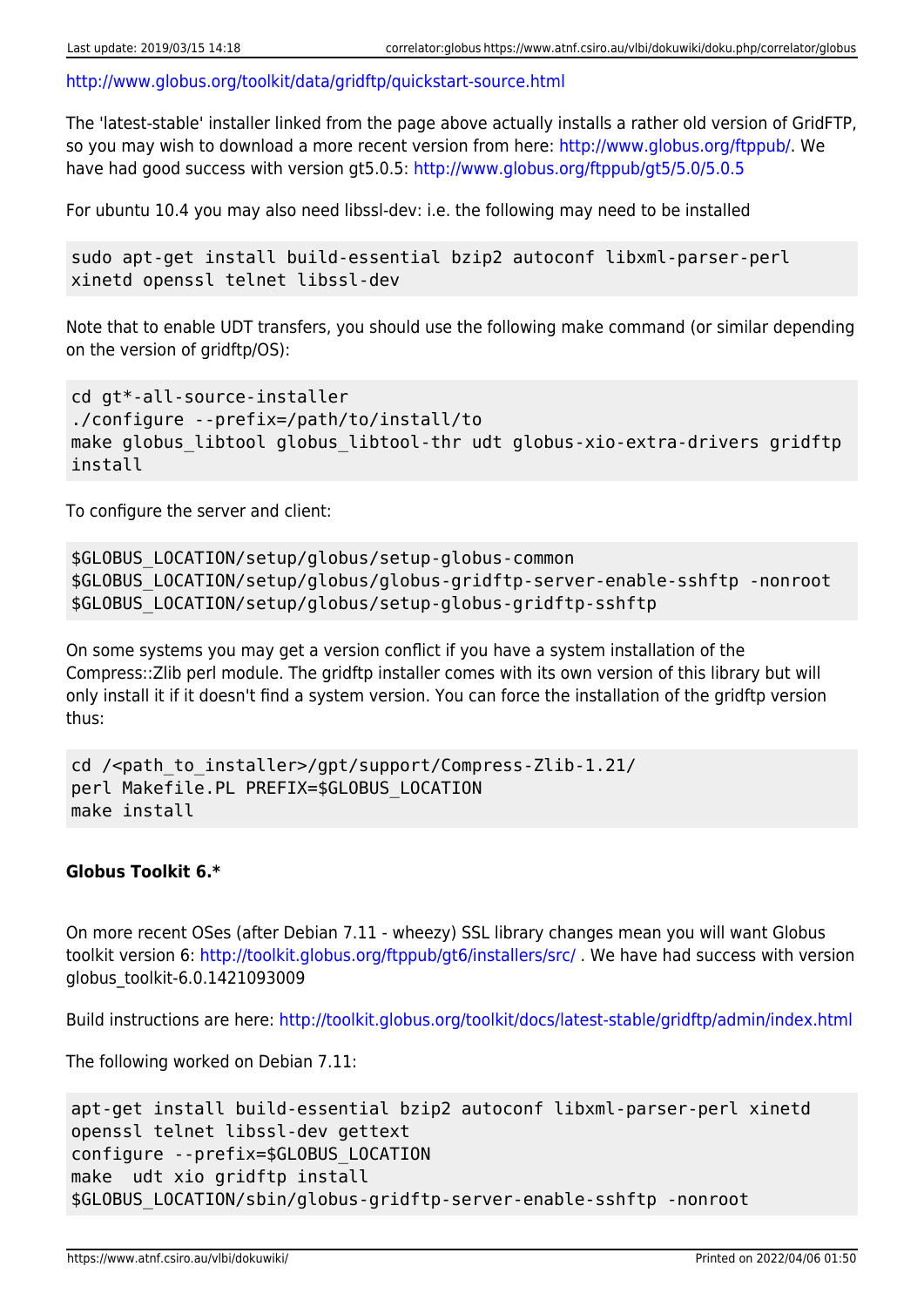<http://www.globus.org/toolkit/data/gridftp/quickstart-source.html>

The 'latest-stable' installer linked from the page above actually installs a rather old version of GridFTP, so you may wish to download a more recent version from here: [http://www.globus.org/ftppub/.](http://www.globus.org/ftppub/) We have had good success with version gt5.0.5: <http://www.globus.org/ftppub/gt5/5.0/5.0.5>

For ubuntu 10.4 you may also need libssl-dev: i.e. the following may need to be installed

```
sudo apt-get install build-essential bzip2 autoconf libxml-parser-perl
xinetd openssl telnet libssl-dev
```
Note that to enable UDT transfers, you should use the following make command (or similar depending on the version of gridftp/OS):

```
cd gt*-all-source-installer
./configure --prefix=/path/to/install/to
make globus libtool globus libtool-thr udt globus-xio-extra-drivers gridftp
install
```
To configure the server and client:

```
$GLOBUS_LOCATION/setup/globus/setup-globus-common
$GLOBUS_LOCATION/setup/globus/globus-gridftp-server-enable-sshftp -nonroot
$GLOBUS_LOCATION/setup/globus/setup-globus-gridftp-sshftp
```
On some systems you may get a version conflict if you have a system installation of the Compress::Zlib perl module. The gridftp installer comes with its own version of this library but will only install it if it doesn't find a system version. You can force the installation of the gridftp version thus:

```
cd /<path to installer>/gpt/support/Compress-Zlib-1.21/
perl Makefile.PL PREFIX=$GLOBUS_LOCATION
make install
```
#### **Globus Toolkit 6.\***

On more recent OSes (after Debian 7.11 - wheezy) SSL library changes mean you will want Globus toolkit version 6: <http://toolkit.globus.org/ftppub/gt6/installers/src/> . We have had success with version globus\_toolkit-6.0.1421093009

Build instructions are here: <http://toolkit.globus.org/toolkit/docs/latest-stable/gridftp/admin/index.html>

The following worked on Debian 7.11:

```
apt-get install build-essential bzip2 autoconf libxml-parser-perl xinetd
openssl telnet libssl-dev gettext
configure --prefix=$GLOBUS_LOCATION
make udt xio gridftp install
$GLOBUS_LOCATION/sbin/globus-gridftp-server-enable-sshftp -nonroot
```